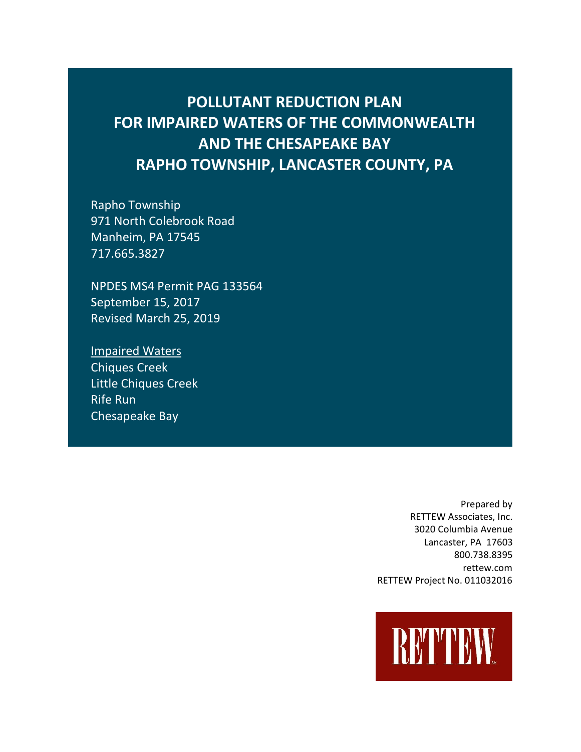# **POLLUTANT REDUCTION PLAN FOR IMPAIRED WATERS OF THE COMMONWEALTH AND THE CHESAPEAKE BAY RAPHO TOWNSHIP, LANCASTER COUNTY, PA**

Rapho Township 971 North Colebrook Road Manheim, PA 17545 717.665.3827

NPDES MS4 Permit PAG 133564 September 15, 2017 Revised March 25, 2019

Impaired Waters Chiques Creek Little Chiques Creek Rife Run Chesapeake Bay

> Prepared by RETTEW Associates, Inc. 3020 Columbia Avenue Lancaster, PA 17603 800.738.8395 rettew.com RETTEW Project No. 011032016

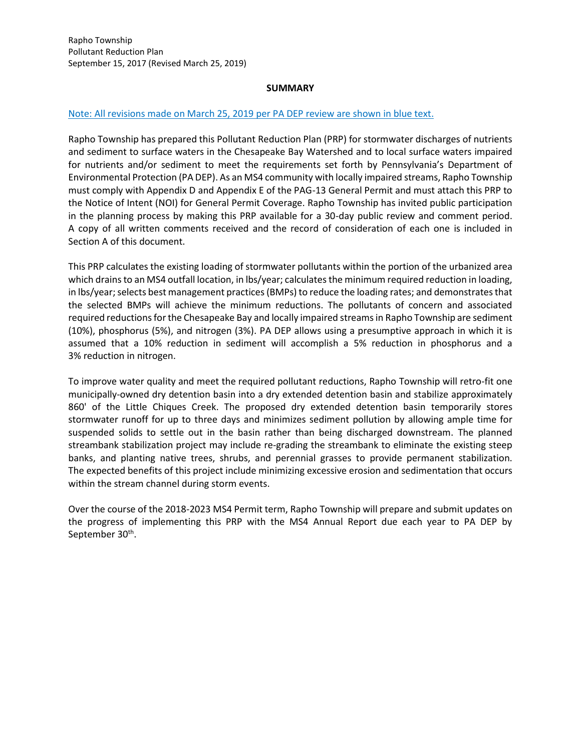#### **SUMMARY**

#### Note: All revisions made on March 25, 2019 per PA DEP review are shown in blue text.

Rapho Township has prepared this Pollutant Reduction Plan (PRP) for stormwater discharges of nutrients and sediment to surface waters in the Chesapeake Bay Watershed and to local surface waters impaired for nutrients and/or sediment to meet the requirements set forth by Pennsylvania's Department of Environmental Protection (PA DEP). As an MS4 community with locally impaired streams, Rapho Township must comply with Appendix D and Appendix E of the PAG-13 General Permit and must attach this PRP to the Notice of Intent (NOI) for General Permit Coverage. Rapho Township has invited public participation in the planning process by making this PRP available for a 30-day public review and comment period. A copy of all written comments received and the record of consideration of each one is included in Section A of this document.

This PRP calculates the existing loading of stormwater pollutants within the portion of the urbanized area which drains to an MS4 outfall location, in lbs/year; calculates the minimum required reduction in loading, in lbs/year; selects best management practices (BMPs) to reduce the loading rates; and demonstrates that the selected BMPs will achieve the minimum reductions. The pollutants of concern and associated required reductions for the Chesapeake Bay and locally impaired streams in Rapho Township are sediment (10%), phosphorus (5%), and nitrogen (3%). PA DEP allows using a presumptive approach in which it is assumed that a 10% reduction in sediment will accomplish a 5% reduction in phosphorus and a 3% reduction in nitrogen.

To improve water quality and meet the required pollutant reductions, Rapho Township will retro-fit one municipally-owned dry detention basin into a dry extended detention basin and stabilize approximately 860' of the Little Chiques Creek. The proposed dry extended detention basin temporarily stores stormwater runoff for up to three days and minimizes sediment pollution by allowing ample time for suspended solids to settle out in the basin rather than being discharged downstream. The planned streambank stabilization project may include re-grading the streambank to eliminate the existing steep banks, and planting native trees, shrubs, and perennial grasses to provide permanent stabilization. The expected benefits of this project include minimizing excessive erosion and sedimentation that occurs within the stream channel during storm events.

Over the course of the 2018-2023 MS4 Permit term, Rapho Township will prepare and submit updates on the progress of implementing this PRP with the MS4 Annual Report due each year to PA DEP by September 30<sup>th</sup>.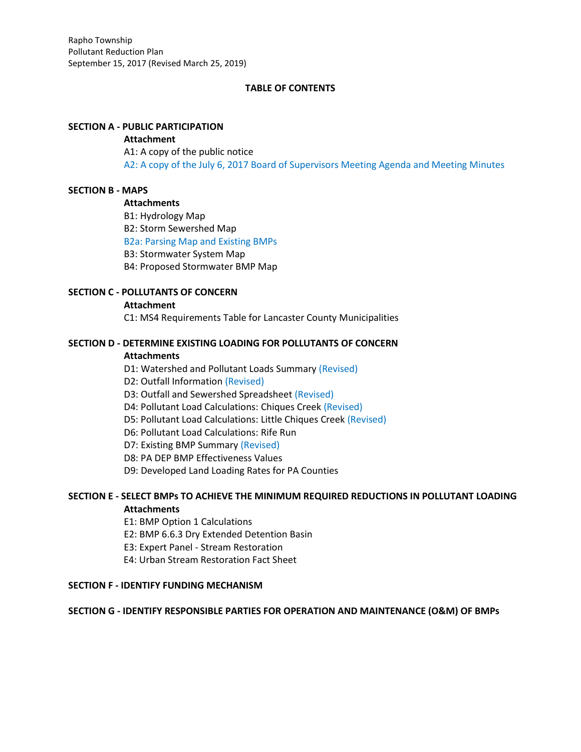# **TABLE OF CONTENTS**

# **SECTION A - PUBLIC PARTICIPATION**

#### **Attachment**

A1: A copy of the public notice A2: A copy of the July 6, 2017 Board of Supervisors Meeting Agenda and Meeting Minutes

# **SECTION B - MAPS**

# **Attachments**

B1: Hydrology Map B2: Storm Sewershed Map B2a: Parsing Map and Existing BMPs B3: Stormwater System Map B4: Proposed Stormwater BMP Map

# **SECTION C - POLLUTANTS OF CONCERN**

#### **Attachment**

C1: MS4 Requirements Table for Lancaster County Municipalities

# **SECTION D - DETERMINE EXISTING LOADING FOR POLLUTANTS OF CONCERN**

# **Attachments**

D1: Watershed and Pollutant Loads Summary (Revised)

- D2: Outfall Information (Revised)
- D3: Outfall and Sewershed Spreadsheet (Revised)
- D4: Pollutant Load Calculations: Chiques Creek (Revised)
- D5: Pollutant Load Calculations: Little Chiques Creek (Revised)
- D6: Pollutant Load Calculations: Rife Run
- D7: Existing BMP Summary (Revised)
- D8: PA DEP BMP Effectiveness Values
- D9: Developed Land Loading Rates for PA Counties

# **SECTION E - SELECT BMPs TO ACHIEVE THE MINIMUM REQUIRED REDUCTIONS IN POLLUTANT LOADING Attachments**

- E1: BMP Option 1 Calculations
- E2: BMP 6.6.3 Dry Extended Detention Basin
- E3: Expert Panel Stream Restoration
- E4: Urban Stream Restoration Fact Sheet

# **SECTION F - IDENTIFY FUNDING MECHANISM**

#### **SECTION G - IDENTIFY RESPONSIBLE PARTIES FOR OPERATION AND MAINTENANCE (O&M) OF BMPs**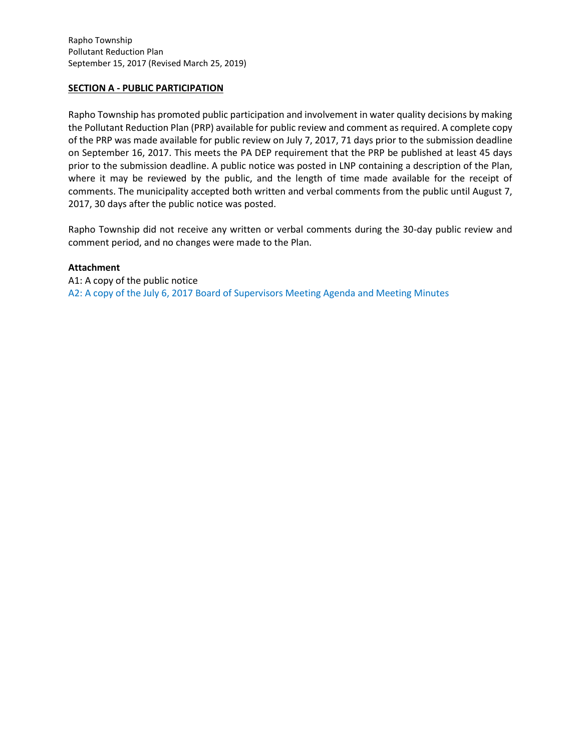# **SECTION A - PUBLIC PARTICIPATION**

Rapho Township has promoted public participation and involvement in water quality decisions by making the Pollutant Reduction Plan (PRP) available for public review and comment as required. A complete copy of the PRP was made available for public review on July 7, 2017, 71 days prior to the submission deadline on September 16, 2017. This meets the PA DEP requirement that the PRP be published at least 45 days prior to the submission deadline. A public notice was posted in LNP containing a description of the Plan, where it may be reviewed by the public, and the length of time made available for the receipt of comments. The municipality accepted both written and verbal comments from the public until August 7, 2017, 30 days after the public notice was posted.

Rapho Township did not receive any written or verbal comments during the 30-day public review and comment period, and no changes were made to the Plan.

# **Attachment**

A1: A copy of the public notice A2: A copy of the July 6, 2017 Board of Supervisors Meeting Agenda and Meeting Minutes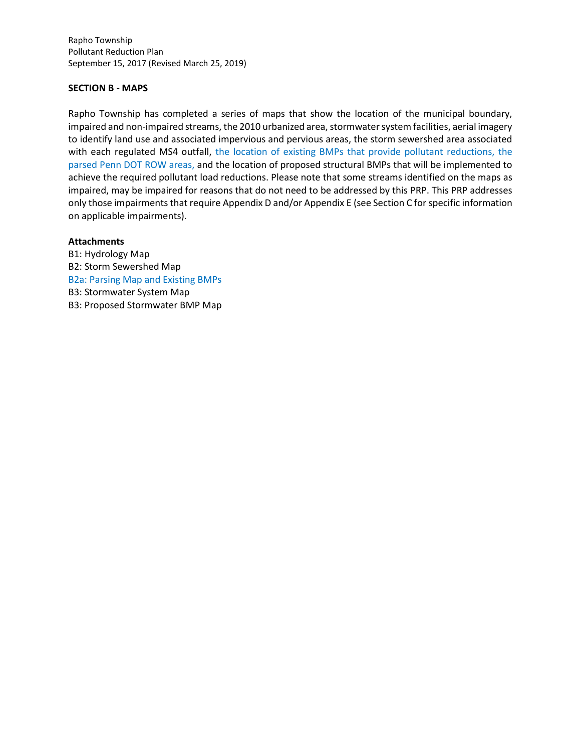Rapho Township Pollutant Reduction Plan September 15, 2017 (Revised March 25, 2019)

# **SECTION B - MAPS**

Rapho Township has completed a series of maps that show the location of the municipal boundary, impaired and non-impaired streams, the 2010 urbanized area, stormwater system facilities, aerial imagery to identify land use and associated impervious and pervious areas, the storm sewershed area associated with each regulated MS4 outfall, the location of existing BMPs that provide pollutant reductions, the parsed Penn DOT ROW areas, and the location of proposed structural BMPs that will be implemented to achieve the required pollutant load reductions. Please note that some streams identified on the maps as impaired, may be impaired for reasons that do not need to be addressed by this PRP. This PRP addresses only those impairments that require Appendix D and/or Appendix E (see Section C for specific information on applicable impairments).

#### **Attachments**

B1: Hydrology Map B2: Storm Sewershed Map B2a: Parsing Map and Existing BMPs B3: Stormwater System Map B3: Proposed Stormwater BMP Map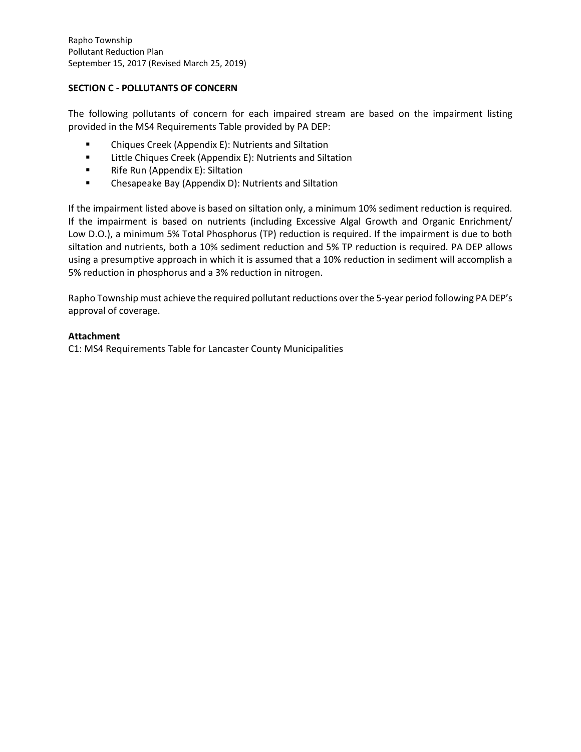# **SECTION C - POLLUTANTS OF CONCERN**

The following pollutants of concern for each impaired stream are based on the impairment listing provided in the MS4 Requirements Table provided by PA DEP:

- Chiques Creek (Appendix E): Nutrients and Siltation
- Little Chiques Creek (Appendix E): Nutrients and Siltation
- Rife Run (Appendix E): Siltation
- Chesapeake Bay (Appendix D): Nutrients and Siltation

If the impairment listed above is based on siltation only, a minimum 10% sediment reduction is required. If the impairment is based on nutrients (including Excessive Algal Growth and Organic Enrichment/ Low D.O.), a minimum 5% Total Phosphorus (TP) reduction is required. If the impairment is due to both siltation and nutrients, both a 10% sediment reduction and 5% TP reduction is required. PA DEP allows using a presumptive approach in which it is assumed that a 10% reduction in sediment will accomplish a 5% reduction in phosphorus and a 3% reduction in nitrogen.

Rapho Township must achieve the required pollutant reductions over the 5-year period following PA DEP's approval of coverage.

# **Attachment**

C1: MS4 Requirements Table for Lancaster County Municipalities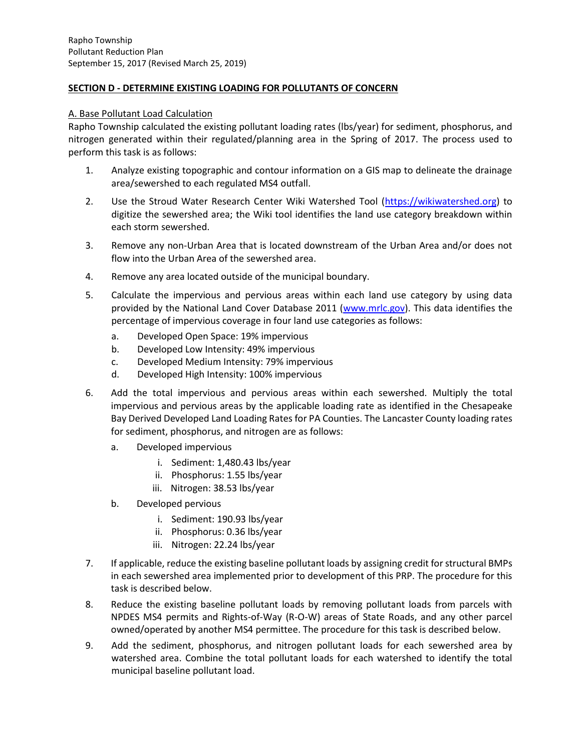# **SECTION D - DETERMINE EXISTING LOADING FOR POLLUTANTS OF CONCERN**

#### A. Base Pollutant Load Calculation

Rapho Township calculated the existing pollutant loading rates (lbs/year) for sediment, phosphorus, and nitrogen generated within their regulated/planning area in the Spring of 2017. The process used to perform this task is as follows:

- 1. Analyze existing topographic and contour information on a GIS map to delineate the drainage area/sewershed to each regulated MS4 outfall.
- 2. Use the Stroud Water Research Center Wiki Watershed Tool [\(https://wikiwatershed.org\)](https://wikiwatershed.org/)) to digitize the sewershed area; the Wiki tool identifies the land use category breakdown within each storm sewershed.
- 3. Remove any non-Urban Area that is located downstream of the Urban Area and/or does not flow into the Urban Area of the sewershed area.
- 4. Remove any area located outside of the municipal boundary.
- 5. Calculate the impervious and pervious areas within each land use category by using data provided by the National Land Cover Database 2011 [\(www.mrlc.gov\)](http://www.mrlc.gov/). This data identifies the percentage of impervious coverage in four land use categories as follows:
	- a. Developed Open Space: 19% impervious
	- b. Developed Low Intensity: 49% impervious
	- c. Developed Medium Intensity: 79% impervious
	- d. Developed High Intensity: 100% impervious
- 6. Add the total impervious and pervious areas within each sewershed. Multiply the total impervious and pervious areas by the applicable loading rate as identified in the Chesapeake Bay Derived Developed Land Loading Rates for PA Counties. The Lancaster County loading rates for sediment, phosphorus, and nitrogen are as follows:
	- a. Developed impervious
		- i. Sediment: 1,480.43 lbs/year
		- ii. Phosphorus: 1.55 lbs/year
		- iii. Nitrogen: 38.53 lbs/year
	- b. Developed pervious
		- i. Sediment: 190.93 lbs/year
		- ii. Phosphorus: 0.36 lbs/year
		- iii. Nitrogen: 22.24 lbs/year
- 7. If applicable, reduce the existing baseline pollutant loads by assigning credit for structural BMPs in each sewershed area implemented prior to development of this PRP. The procedure for this task is described below.
- 8. Reduce the existing baseline pollutant loads by removing pollutant loads from parcels with NPDES MS4 permits and Rights-of-Way (R-O-W) areas of State Roads, and any other parcel owned/operated by another MS4 permittee. The procedure for this task is described below.
- 9. Add the sediment, phosphorus, and nitrogen pollutant loads for each sewershed area by watershed area. Combine the total pollutant loads for each watershed to identify the total municipal baseline pollutant load.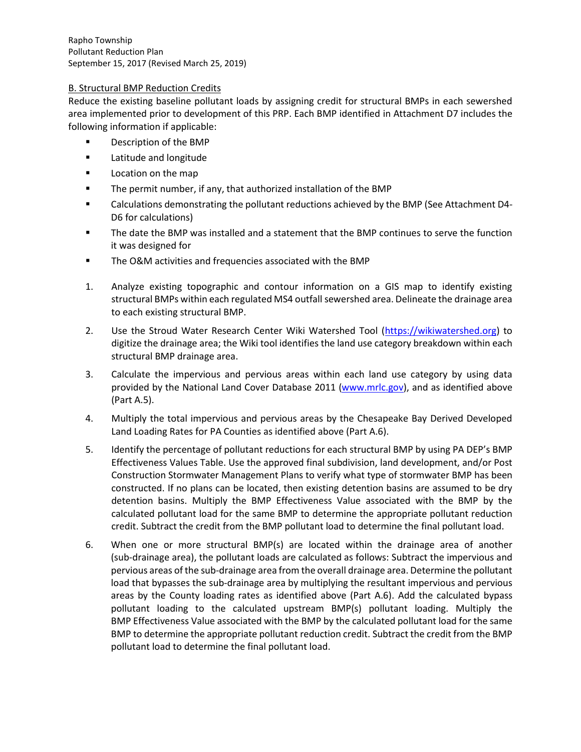Rapho Township Pollutant Reduction Plan September 15, 2017 (Revised March 25, 2019)

# B. Structural BMP Reduction Credits

Reduce the existing baseline pollutant loads by assigning credit for structural BMPs in each sewershed area implemented prior to development of this PRP. Each BMP identified in Attachment D7 includes the following information if applicable:

- Description of the BMP
- Latitude and longitude
- Location on the map
- The permit number, if any, that authorized installation of the BMP
- Calculations demonstrating the pollutant reductions achieved by the BMP (See Attachment D4- D6 for calculations)
- The date the BMP was installed and a statement that the BMP continues to serve the function it was designed for
- The O&M activities and frequencies associated with the BMP
- 1. Analyze existing topographic and contour information on a GIS map to identify existing structural BMPs within each regulated MS4 outfall sewershed area. Delineate the drainage area to each existing structural BMP.
- 2. Use the Stroud Water Research Center Wiki Watershed Tool [\(https://wikiwatershed.org\)](https://wikiwatershed.org/) to digitize the drainage area; the Wiki tool identifies the land use category breakdown within each structural BMP drainage area.
- 3. Calculate the impervious and pervious areas within each land use category by using data provided by the National Land Cover Database 2011 [\(www.mrlc.gov\)](http://www.mrlc.gov/), and as identified above (Part A.5).
- 4. Multiply the total impervious and pervious areas by the Chesapeake Bay Derived Developed Land Loading Rates for PA Counties as identified above (Part A.6).
- 5. Identify the percentage of pollutant reductions for each structural BMP by using PA DEP's BMP Effectiveness Values Table. Use the approved final subdivision, land development, and/or Post Construction Stormwater Management Plans to verify what type of stormwater BMP has been constructed. If no plans can be located, then existing detention basins are assumed to be dry detention basins. Multiply the BMP Effectiveness Value associated with the BMP by the calculated pollutant load for the same BMP to determine the appropriate pollutant reduction credit. Subtract the credit from the BMP pollutant load to determine the final pollutant load.
- 6. When one or more structural BMP(s) are located within the drainage area of another (sub-drainage area), the pollutant loads are calculated as follows: Subtract the impervious and pervious areas of the sub-drainage area from the overall drainage area. Determine the pollutant load that bypasses the sub-drainage area by multiplying the resultant impervious and pervious areas by the County loading rates as identified above (Part A.6). Add the calculated bypass pollutant loading to the calculated upstream BMP(s) pollutant loading. Multiply the BMP Effectiveness Value associated with the BMP by the calculated pollutant load for the same BMP to determine the appropriate pollutant reduction credit. Subtract the credit from the BMP pollutant load to determine the final pollutant load.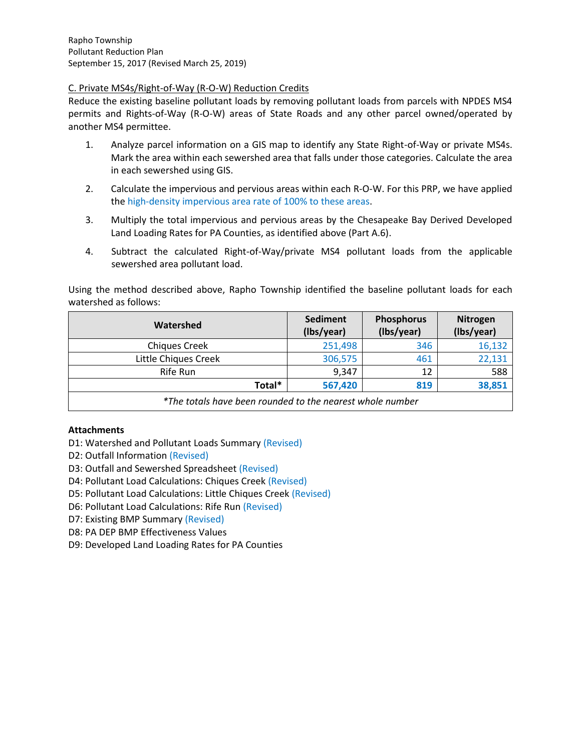# C. Private MS4s/Right-of-Way (R-O-W) Reduction Credits

Reduce the existing baseline pollutant loads by removing pollutant loads from parcels with NPDES MS4 permits and Rights-of-Way (R-O-W) areas of State Roads and any other parcel owned/operated by another MS4 permittee.

- 1. Analyze parcel information on a GIS map to identify any State Right-of-Way or private MS4s. Mark the area within each sewershed area that falls under those categories. Calculate the area in each sewershed using GIS.
- 2. Calculate the impervious and pervious areas within each R-O-W. For this PRP, we have applied the high-density impervious area rate of 100% to these areas.
- 3. Multiply the total impervious and pervious areas by the Chesapeake Bay Derived Developed Land Loading Rates for PA Counties, as identified above (Part A.6).
- 4. Subtract the calculated Right-of-Way/private MS4 pollutant loads from the applicable sewershed area pollutant load.

Using the method described above, Rapho Township identified the baseline pollutant loads for each watershed as follows:

| Watershed                                                 | <b>Sediment</b><br>(Ibs/year) | Phosphorus<br>(Ibs/year) | <b>Nitrogen</b><br>(Ibs/year) |
|-----------------------------------------------------------|-------------------------------|--------------------------|-------------------------------|
| <b>Chiques Creek</b>                                      | 251,498                       | 346                      | 16,132                        |
| Little Chiques Creek                                      | 306,575                       | 461                      | 22,131                        |
| Rife Run                                                  | 9,347                         | 12                       | 588                           |
| Total*                                                    | 567,420                       | 819                      | 38,851                        |
| *The totals have been rounded to the nearest whole number |                               |                          |                               |

# **Attachments**

- D1: Watershed and Pollutant Loads Summary (Revised)
- D2: Outfall Information (Revised)
- D3: Outfall and Sewershed Spreadsheet (Revised)
- D4: Pollutant Load Calculations: Chiques Creek (Revised)
- D5: Pollutant Load Calculations: Little Chiques Creek (Revised)
- D6: Pollutant Load Calculations: Rife Run (Revised)
- D7: Existing BMP Summary (Revised)
- D8: PA DEP BMP Effectiveness Values
- D9: Developed Land Loading Rates for PA Counties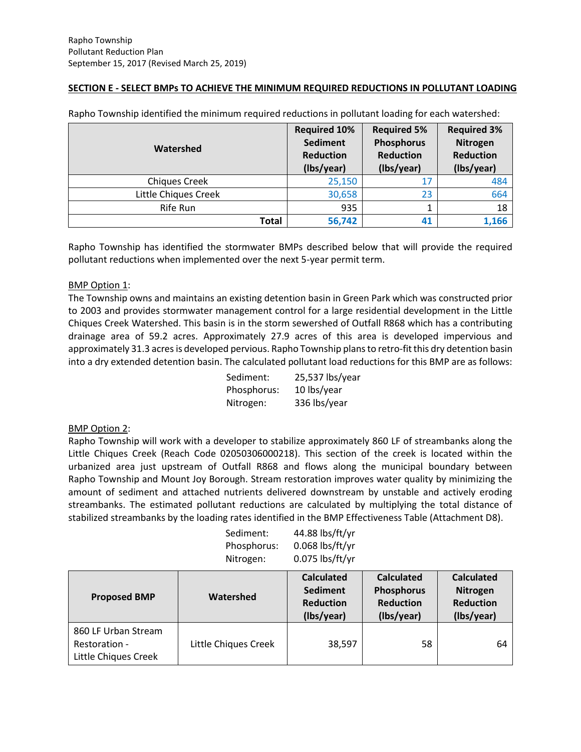# **SECTION E - SELECT BMPs TO ACHIEVE THE MINIMUM REQUIRED REDUCTIONS IN POLLUTANT LOADING**

| Watershed            | <b>Required 10%</b><br><b>Sediment</b><br><b>Reduction</b><br>(Ibs/year) | <b>Required 5%</b><br>Phosphorus<br><b>Reduction</b><br>(Ibs/year) | <b>Required 3%</b><br>Nitrogen<br><b>Reduction</b><br>(Ibs/year) |
|----------------------|--------------------------------------------------------------------------|--------------------------------------------------------------------|------------------------------------------------------------------|
| <b>Chiques Creek</b> | 25,150                                                                   | 17                                                                 | 484                                                              |
| Little Chiques Creek | 30,658                                                                   | 23                                                                 | 664                                                              |
| Rife Run             | 935                                                                      |                                                                    | 18                                                               |
| Total                | 56,742                                                                   | 41                                                                 | 1,166                                                            |

Rapho Township identified the minimum required reductions in pollutant loading for each watershed:

Rapho Township has identified the stormwater BMPs described below that will provide the required pollutant reductions when implemented over the next 5-year permit term.

# BMP Option 1:

The Township owns and maintains an existing detention basin in Green Park which was constructed prior to 2003 and provides stormwater management control for a large residential development in the Little Chiques Creek Watershed. This basin is in the storm sewershed of Outfall R868 which has a contributing drainage area of 59.2 acres. Approximately 27.9 acres of this area is developed impervious and approximately 31.3 acres is developed pervious. Rapho Township plans to retro-fit this dry detention basin into a dry extended detention basin. The calculated pollutant load reductions for this BMP are as follows:

| Sediment:   | 25,537 lbs/year |
|-------------|-----------------|
| Phosphorus: | 10 lbs/year     |
| Nitrogen:   | 336 lbs/year    |

#### BMP Option 2:

Rapho Township will work with a developer to stabilize approximately 860 LF of streambanks along the Little Chiques Creek (Reach Code 02050306000218). This section of the creek is located within the urbanized area just upstream of Outfall R868 and flows along the municipal boundary between Rapho Township and Mount Joy Borough. Stream restoration improves water quality by minimizing the amount of sediment and attached nutrients delivered downstream by unstable and actively eroding streambanks. The estimated pollutant reductions are calculated by multiplying the total distance of stabilized streambanks by the loading rates identified in the BMP Effectiveness Table (Attachment D8).

| Sediment:   | 44.88 lbs/ft/yr   |
|-------------|-------------------|
| Phosphorus: | $0.068$ lbs/ft/yr |
| Nitrogen:   | $0.075$ lbs/ft/yr |

| <b>Proposed BMP</b>                                          | Watershed            | <b>Calculated</b><br><b>Sediment</b><br><b>Reduction</b><br>(Ibs/year) | <b>Calculated</b><br><b>Phosphorus</b><br><b>Reduction</b><br>(Ibs/year) | <b>Calculated</b><br>Nitrogen<br><b>Reduction</b><br>(Ibs/year) |
|--------------------------------------------------------------|----------------------|------------------------------------------------------------------------|--------------------------------------------------------------------------|-----------------------------------------------------------------|
| 860 LF Urban Stream<br>Restoration -<br>Little Chiques Creek | Little Chiques Creek | 38,597                                                                 | 58                                                                       | 64                                                              |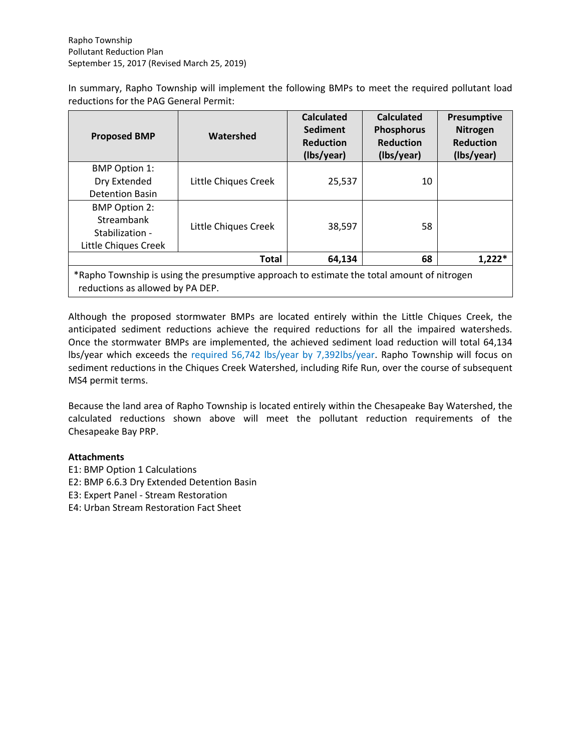In summary, Rapho Township will implement the following BMPs to meet the required pollutant load reductions for the PAG General Permit:

| <b>Proposed BMP</b>                                                                                                            | Watershed            | <b>Calculated</b><br><b>Sediment</b><br><b>Reduction</b><br>(Ibs/year) | <b>Calculated</b><br><b>Phosphorus</b><br><b>Reduction</b><br>(Ibs/year) | Presumptive<br><b>Nitrogen</b><br><b>Reduction</b><br>(Ibs/year) |
|--------------------------------------------------------------------------------------------------------------------------------|----------------------|------------------------------------------------------------------------|--------------------------------------------------------------------------|------------------------------------------------------------------|
| <b>BMP Option 1:</b>                                                                                                           |                      |                                                                        |                                                                          |                                                                  |
| Dry Extended                                                                                                                   | Little Chiques Creek | 25,537                                                                 | 10                                                                       |                                                                  |
| <b>Detention Basin</b>                                                                                                         |                      |                                                                        |                                                                          |                                                                  |
| <b>BMP Option 2:</b>                                                                                                           |                      |                                                                        |                                                                          |                                                                  |
| Streambank                                                                                                                     | Little Chiques Creek | 38,597                                                                 | 58                                                                       |                                                                  |
| Stabilization -                                                                                                                |                      |                                                                        |                                                                          |                                                                  |
| Little Chiques Creek                                                                                                           |                      |                                                                        |                                                                          |                                                                  |
|                                                                                                                                | <b>Total</b>         | 64,134                                                                 | 68                                                                       | $1,222*$                                                         |
| *Rapho Township is using the presumptive approach to estimate the total amount of nitrogen<br>reductions as allowed by PA DEP. |                      |                                                                        |                                                                          |                                                                  |

Although the proposed stormwater BMPs are located entirely within the Little Chiques Creek, the anticipated sediment reductions achieve the required reductions for all the impaired watersheds. Once the stormwater BMPs are implemented, the achieved sediment load reduction will total 64,134 lbs/year which exceeds the required 56,742 lbs/year by 7,392lbs/year. Rapho Township will focus on sediment reductions in the Chiques Creek Watershed, including Rife Run, over the course of subsequent MS4 permit terms.

Because the land area of Rapho Township is located entirely within the Chesapeake Bay Watershed, the calculated reductions shown above will meet the pollutant reduction requirements of the Chesapeake Bay PRP.

# **Attachments**

- E1: BMP Option 1 Calculations
- E2: BMP 6.6.3 Dry Extended Detention Basin

E3: Expert Panel - Stream Restoration

E4: Urban Stream Restoration Fact Sheet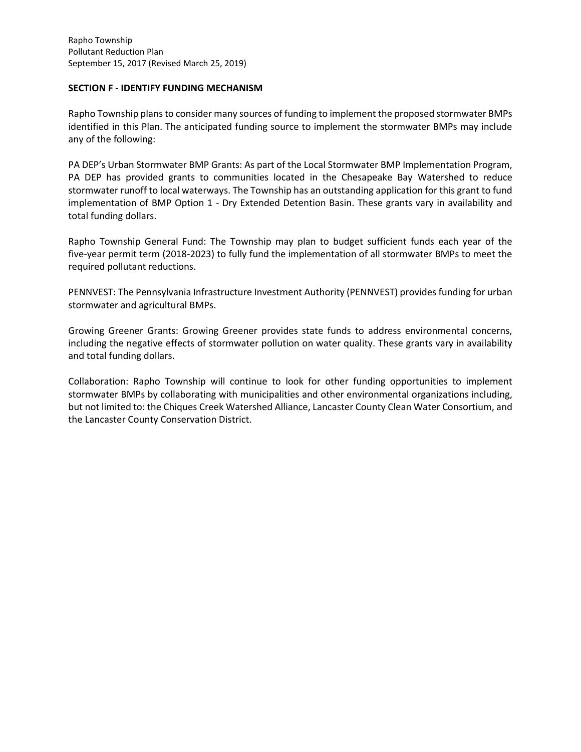# **SECTION F - IDENTIFY FUNDING MECHANISM**

Rapho Township plans to consider many sources of funding to implement the proposed stormwater BMPs identified in this Plan. The anticipated funding source to implement the stormwater BMPs may include any of the following:

PA DEP's Urban Stormwater BMP Grants: As part of the Local Stormwater BMP Implementation Program, PA DEP has provided grants to communities located in the Chesapeake Bay Watershed to reduce stormwater runoff to local waterways. The Township has an outstanding application for this grant to fund implementation of BMP Option 1 - Dry Extended Detention Basin. These grants vary in availability and total funding dollars.

Rapho Township General Fund: The Township may plan to budget sufficient funds each year of the five-year permit term (2018-2023) to fully fund the implementation of all stormwater BMPs to meet the required pollutant reductions.

PENNVEST: The Pennsylvania Infrastructure Investment Authority (PENNVEST) provides funding for urban stormwater and agricultural BMPs.

Growing Greener Grants: Growing Greener provides state funds to address environmental concerns, including the negative effects of stormwater pollution on water quality. These grants vary in availability and total funding dollars.

Collaboration: Rapho Township will continue to look for other funding opportunities to implement stormwater BMPs by collaborating with municipalities and other environmental organizations including, but not limited to: the Chiques Creek Watershed Alliance, Lancaster County Clean Water Consortium, and the Lancaster County Conservation District.